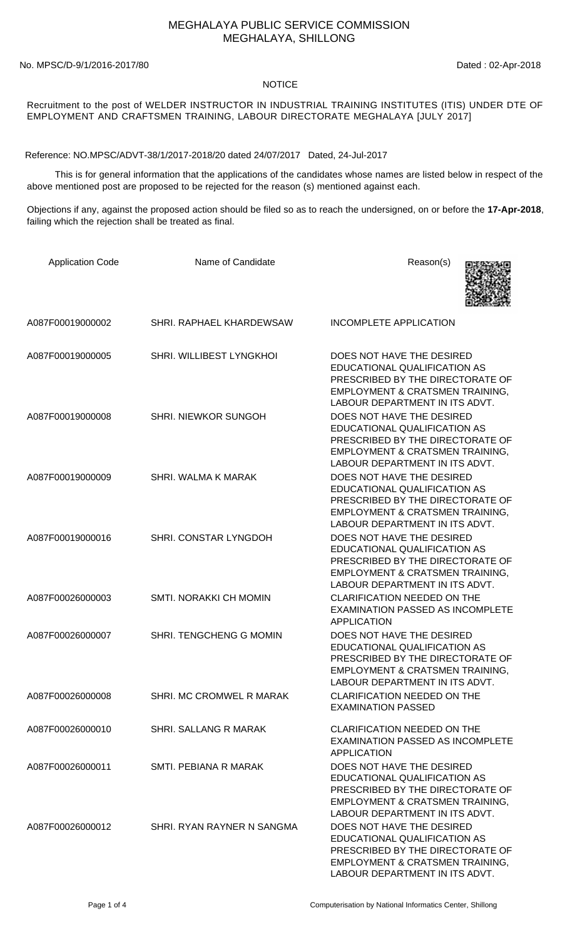## MEGHALAYA PUBLIC SERVICE COMMISSION MEGHALAYA, SHILLONG

No. MPSC/D-9/1/2016-2017/80 Dated : 02-Apr-2018

## NOTICE

Recruitment to the post of WELDER INSTRUCTOR IN INDUSTRIAL TRAINING INSTITUTES (ITIS) UNDER DTE OF EMPLOYMENT AND CRAFTSMEN TRAINING, LABOUR DIRECTORATE MEGHALAYA [JULY 2017]

Reference: NO.MPSC/ADVT-38/1/2017-2018/20 dated 24/07/2017 Dated, 24-Jul-2017

 This is for general information that the applications of the candidates whose names are listed below in respect of the above mentioned post are proposed to be rejected for the reason (s) mentioned against each.

Objections if any, against the proposed action should be filed so as to reach the undersigned, on or before the **17-Apr-2018**, failing which the rejection shall be treated as final.

| <b>Application Code</b> | Name of Candidate            | Reason(s)                                                                                                                                                                     |
|-------------------------|------------------------------|-------------------------------------------------------------------------------------------------------------------------------------------------------------------------------|
| A087F00019000002        | SHRI, RAPHAEL KHARDEWSAW     | <b>INCOMPLETE APPLICATION</b>                                                                                                                                                 |
| A087F00019000005        | SHRI. WILLIBEST LYNGKHOI     | DOES NOT HAVE THE DESIRED<br>EDUCATIONAL QUALIFICATION AS<br>PRESCRIBED BY THE DIRECTORATE OF<br>EMPLOYMENT & CRATSMEN TRAINING,<br>LABOUR DEPARTMENT IN ITS ADVT.            |
| A087F00019000008        | SHRI. NIEWKOR SUNGOH         | DOES NOT HAVE THE DESIRED<br>EDUCATIONAL QUALIFICATION AS<br>PRESCRIBED BY THE DIRECTORATE OF<br>EMPLOYMENT & CRATSMEN TRAINING,<br>LABOUR DEPARTMENT IN ITS ADVT.            |
| A087F00019000009        | SHRI. WALMA K MARAK          | DOES NOT HAVE THE DESIRED<br>EDUCATIONAL QUALIFICATION AS<br>PRESCRIBED BY THE DIRECTORATE OF<br>EMPLOYMENT & CRATSMEN TRAINING,<br>LABOUR DEPARTMENT IN ITS ADVT.            |
| A087F00019000016        | SHRI. CONSTAR LYNGDOH        | DOES NOT HAVE THE DESIRED<br>EDUCATIONAL QUALIFICATION AS<br>PRESCRIBED BY THE DIRECTORATE OF<br>EMPLOYMENT & CRATSMEN TRAINING,<br>LABOUR DEPARTMENT IN ITS ADVT.            |
| A087F00026000003        | SMTI. NORAKKI CH MOMIN       | <b>CLARIFICATION NEEDED ON THE</b><br><b>EXAMINATION PASSED AS INCOMPLETE</b><br><b>APPLICATION</b>                                                                           |
| A087F00026000007        | SHRI. TENGCHENG G MOMIN      | DOES NOT HAVE THE DESIRED<br>EDUCATIONAL QUALIFICATION AS<br>PRESCRIBED BY THE DIRECTORATE OF<br><b>EMPLOYMENT &amp; CRATSMEN TRAINING.</b><br>LABOUR DEPARTMENT IN ITS ADVT. |
| A087F00026000008        | SHRI. MC CROMWEL R MARAK     | <b>CLARIFICATION NEEDED ON THE</b><br><b>EXAMINATION PASSED</b>                                                                                                               |
| A087F00026000010        | <b>SHRI. SALLANG R MARAK</b> | <b>CLARIFICATION NEEDED ON THE</b><br><b>EXAMINATION PASSED AS INCOMPLETE</b><br><b>APPLICATION</b>                                                                           |
| A087F00026000011        | SMTL PEBIANA R MARAK         | DOES NOT HAVE THE DESIRED<br>EDUCATIONAL QUALIFICATION AS<br>PRESCRIBED BY THE DIRECTORATE OF<br>EMPLOYMENT & CRATSMEN TRAINING,<br>LABOUR DEPARTMENT IN ITS ADVT.            |
| A087F00026000012        | SHRI. RYAN RAYNER N SANGMA   | DOES NOT HAVE THE DESIRED<br>EDUCATIONAL QUALIFICATION AS<br>PRESCRIBED BY THE DIRECTORATE OF<br>EMPLOYMENT & CRATSMEN TRAINING,<br>LABOUR DEPARTMENT IN ITS ADVT.            |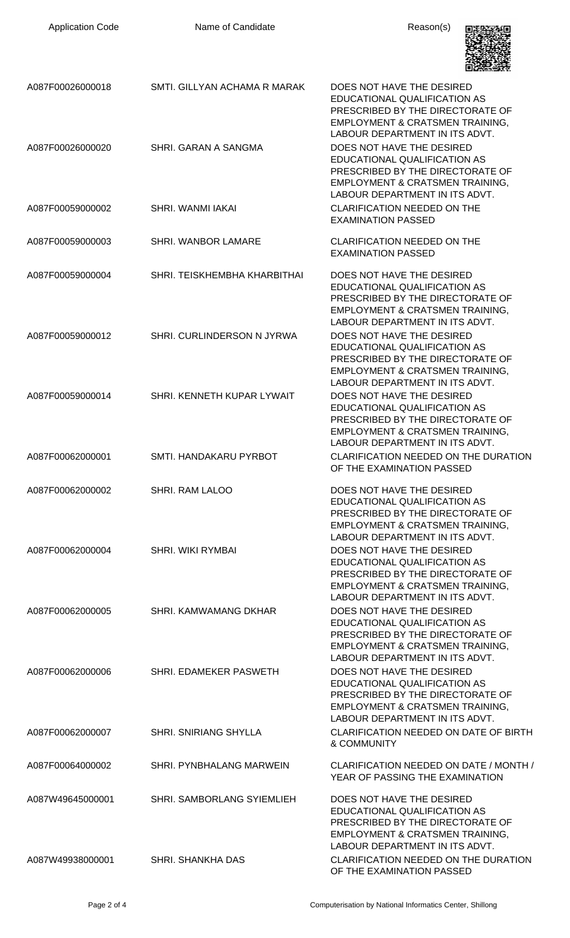| <b>Application Code</b> | Name of Candidate            | Reason(s)                                                                                                                                                                     |
|-------------------------|------------------------------|-------------------------------------------------------------------------------------------------------------------------------------------------------------------------------|
| A087F00026000018        | SMTI. GILLYAN ACHAMA R MARAK | DOES NOT HAVE THE DESIRED<br>EDUCATIONAL QUALIFICATION AS<br>PRESCRIBED BY THE DIRECTORATE OF<br>EMPLOYMENT & CRATSMEN TRAINING,<br>LABOUR DEPARTMENT IN ITS ADVT.            |
| A087F00026000020        | SHRI. GARAN A SANGMA         | DOES NOT HAVE THE DESIRED<br>EDUCATIONAL QUALIFICATION AS<br>PRESCRIBED BY THE DIRECTORATE OF<br>EMPLOYMENT & CRATSMEN TRAINING,<br>LABOUR DEPARTMENT IN ITS ADVT.            |
| A087F00059000002        | SHRI. WANMI IAKAI            | <b>CLARIFICATION NEEDED ON THE</b><br><b>EXAMINATION PASSED</b>                                                                                                               |
| A087F00059000003        | <b>SHRI. WANBOR LAMARE</b>   | <b>CLARIFICATION NEEDED ON THE</b><br><b>EXAMINATION PASSED</b>                                                                                                               |
| A087F00059000004        | SHRI. TEISKHEMBHA KHARBITHAI | DOES NOT HAVE THE DESIRED<br>EDUCATIONAL QUALIFICATION AS<br>PRESCRIBED BY THE DIRECTORATE OF<br>EMPLOYMENT & CRATSMEN TRAINING,<br>LABOUR DEPARTMENT IN ITS ADVT.            |
| A087F00059000012        | SHRI. CURLINDERSON N JYRWA   | DOES NOT HAVE THE DESIRED<br>EDUCATIONAL QUALIFICATION AS<br>PRESCRIBED BY THE DIRECTORATE OF<br>EMPLOYMENT & CRATSMEN TRAINING,<br>LABOUR DEPARTMENT IN ITS ADVT.            |
| A087F00059000014        | SHRI. KENNETH KUPAR LYWAIT   | DOES NOT HAVE THE DESIRED<br>EDUCATIONAL QUALIFICATION AS<br>PRESCRIBED BY THE DIRECTORATE OF<br>EMPLOYMENT & CRATSMEN TRAINING,<br>LABOUR DEPARTMENT IN ITS ADVT.            |
| A087F00062000001        | SMTI. HANDAKARU PYRBOT       | CLARIFICATION NEEDED ON THE DURATION<br>OF THE EXAMINATION PASSED                                                                                                             |
| A087F00062000002        | <b>SHRI. RAM LALOO</b>       | DOES NOT HAVE THE DESIRED<br>EDUCATIONAL QUALIFICATION AS<br>PRESCRIBED BY THE DIRECTORATE OF<br><b>EMPLOYMENT &amp; CRATSMEN TRAINING,</b><br>LABOUR DEPARTMENT IN ITS ADVT. |
| A087F00062000004        | SHRI. WIKI RYMBAI            | DOES NOT HAVE THE DESIRED<br>EDUCATIONAL QUALIFICATION AS<br>PRESCRIBED BY THE DIRECTORATE OF<br>EMPLOYMENT & CRATSMEN TRAINING,<br>LABOUR DEPARTMENT IN ITS ADVT.            |
| A087F00062000005        | SHRI, KAMWAMANG DKHAR        | DOES NOT HAVE THE DESIRED<br>EDUCATIONAL QUALIFICATION AS<br>PRESCRIBED BY THE DIRECTORATE OF<br>EMPLOYMENT & CRATSMEN TRAINING,<br>LABOUR DEPARTMENT IN ITS ADVT.            |
| A087F00062000006        | SHRI. EDAMEKER PASWETH       | DOES NOT HAVE THE DESIRED<br>EDUCATIONAL QUALIFICATION AS<br>PRESCRIBED BY THE DIRECTORATE OF<br>EMPLOYMENT & CRATSMEN TRAINING,<br>LABOUR DEPARTMENT IN ITS ADVT.            |
| A087F00062000007        | <b>SHRI. SNIRIANG SHYLLA</b> | CLARIFICATION NEEDED ON DATE OF BIRTH<br>& COMMUNITY                                                                                                                          |
| A087F00064000002        | SHRI. PYNBHALANG MARWEIN     | CLARIFICATION NEEDED ON DATE / MONTH /<br>YEAR OF PASSING THE EXAMINATION                                                                                                     |
| A087W49645000001        | SHRI. SAMBORLANG SYIEMLIEH   | DOES NOT HAVE THE DESIRED<br>EDUCATIONAL QUALIFICATION AS<br>PRESCRIBED BY THE DIRECTORATE OF<br>EMPLOYMENT & CRATSMEN TRAINING,<br>LABOUR DEPARTMENT IN ITS ADVT.            |
| A087W49938000001        | SHRI. SHANKHA DAS            | CLARIFICATION NEEDED ON THE DURATION<br>OF THE EXAMINATION PASSED                                                                                                             |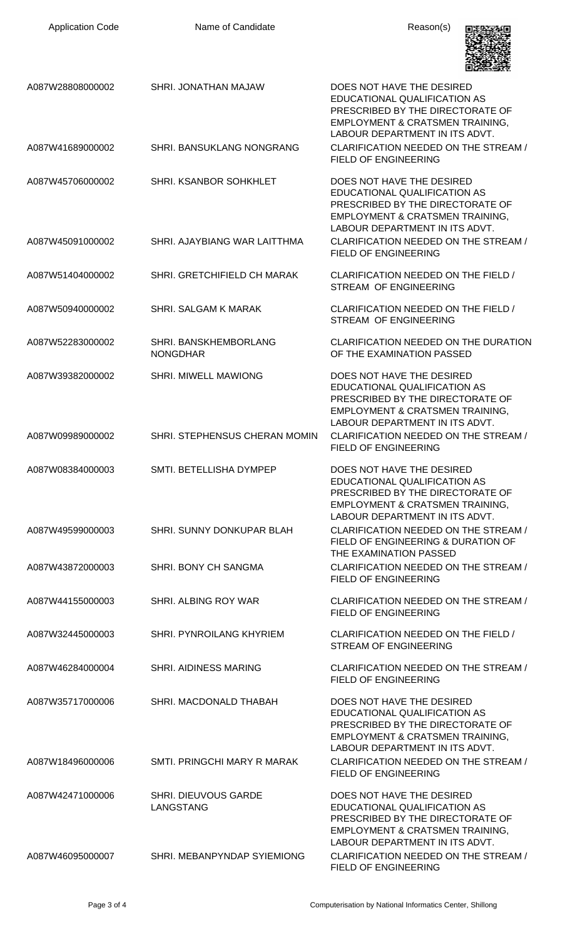| <b>Application Code</b> | Name of Candidate                        | Reason(s)                                                                                                                                                                     |
|-------------------------|------------------------------------------|-------------------------------------------------------------------------------------------------------------------------------------------------------------------------------|
| A087W28808000002        | SHRI. JONATHAN MAJAW                     | DOES NOT HAVE THE DESIRED<br>EDUCATIONAL QUALIFICATION AS<br>PRESCRIBED BY THE DIRECTORATE OF<br><b>EMPLOYMENT &amp; CRATSMEN TRAINING,</b><br>LABOUR DEPARTMENT IN ITS ADVT. |
| A087W41689000002        | SHRI. BANSUKLANG NONGRANG                | CLARIFICATION NEEDED ON THE STREAM /<br><b>FIELD OF ENGINEERING</b>                                                                                                           |
| A087W45706000002        | SHRI. KSANBOR SOHKHLET                   | DOES NOT HAVE THE DESIRED<br>EDUCATIONAL QUALIFICATION AS<br>PRESCRIBED BY THE DIRECTORATE OF<br>EMPLOYMENT & CRATSMEN TRAINING,<br>LABOUR DEPARTMENT IN ITS ADVT.            |
| A087W45091000002        | SHRI. AJAYBIANG WAR LAITTHMA             | CLARIFICATION NEEDED ON THE STREAM /<br><b>FIELD OF ENGINEERING</b>                                                                                                           |
| A087W51404000002        | SHRI. GRETCHIFIELD CH MARAK              | CLARIFICATION NEEDED ON THE FIELD /<br><b>STREAM OF ENGINEERING</b>                                                                                                           |
| A087W50940000002        | SHRI. SALGAM K MARAK                     | CLARIFICATION NEEDED ON THE FIELD /<br>STREAM OF ENGINEERING                                                                                                                  |
| A087W52283000002        | SHRI. BANSKHEMBORLANG<br><b>NONGDHAR</b> | CLARIFICATION NEEDED ON THE DURATION<br>OF THE EXAMINATION PASSED                                                                                                             |
| A087W39382000002        | <b>SHRI. MIWELL MAWIONG</b>              | DOES NOT HAVE THE DESIRED<br>EDUCATIONAL QUALIFICATION AS<br>PRESCRIBED BY THE DIRECTORATE OF<br>EMPLOYMENT & CRATSMEN TRAINING,<br>LABOUR DEPARTMENT IN ITS ADVT.            |
| A087W09989000002        | SHRI. STEPHENSUS CHERAN MOMIN            | CLARIFICATION NEEDED ON THE STREAM /<br><b>FIELD OF ENGINEERING</b>                                                                                                           |
| A087W08384000003        | SMTI. BETELLISHA DYMPEP                  | DOES NOT HAVE THE DESIRED<br>EDUCATIONAL QUALIFICATION AS<br>PRESCRIBED BY THE DIRECTORATE OF<br><b>EMPLOYMENT &amp; CRATSMEN TRAINING,</b><br>LABOUR DEPARTMENT IN ITS ADVT. |
| A087W49599000003        | SHRI. SUNNY DONKUPAR BLAH                | CLARIFICATION NEEDED ON THE STREAM /<br>FIELD OF ENGINEERING & DURATION OF<br>THE EXAMINATION PASSED                                                                          |
| A087W43872000003        | SHRI. BONY CH SANGMA                     | CLARIFICATION NEEDED ON THE STREAM /<br>FIELD OF ENGINEERING                                                                                                                  |
| A087W44155000003        | SHRI. ALBING ROY WAR                     | CLARIFICATION NEEDED ON THE STREAM /<br><b>FIELD OF ENGINEERING</b>                                                                                                           |
| A087W32445000003        | SHRI. PYNROILANG KHYRIEM                 | CLARIFICATION NEEDED ON THE FIELD /<br><b>STREAM OF ENGINEERING</b>                                                                                                           |
| A087W46284000004        | <b>SHRI. AIDINESS MARING</b>             | CLARIFICATION NEEDED ON THE STREAM /<br>FIELD OF ENGINEERING                                                                                                                  |
| A087W35717000006        | SHRI. MACDONALD THABAH                   | DOES NOT HAVE THE DESIRED<br>EDUCATIONAL QUALIFICATION AS<br>PRESCRIBED BY THE DIRECTORATE OF<br><b>EMPLOYMENT &amp; CRATSMEN TRAINING,</b><br>LABOUR DEPARTMENT IN ITS ADVT. |
| A087W18496000006        | SMTI, PRINGCHI MARY R MARAK              | CLARIFICATION NEEDED ON THE STREAM /<br><b>FIELD OF ENGINEERING</b>                                                                                                           |
| A087W42471000006        | SHRI. DIEUVOUS GARDE<br>LANGSTANG        | DOES NOT HAVE THE DESIRED<br><b>EDUCATIONAL QUALIFICATION AS</b><br>PRESCRIBED BY THE DIRECTORATE OF<br>EMPLOYMENT & CRATSMEN TRAINING,<br>LABOUR DEPARTMENT IN ITS ADVT.     |
| A087W46095000007        | SHRI. MEBANPYNDAP SYIEMIONG              | CLARIFICATION NEEDED ON THE STREAM /<br>FIELD OF ENGINEERING                                                                                                                  |